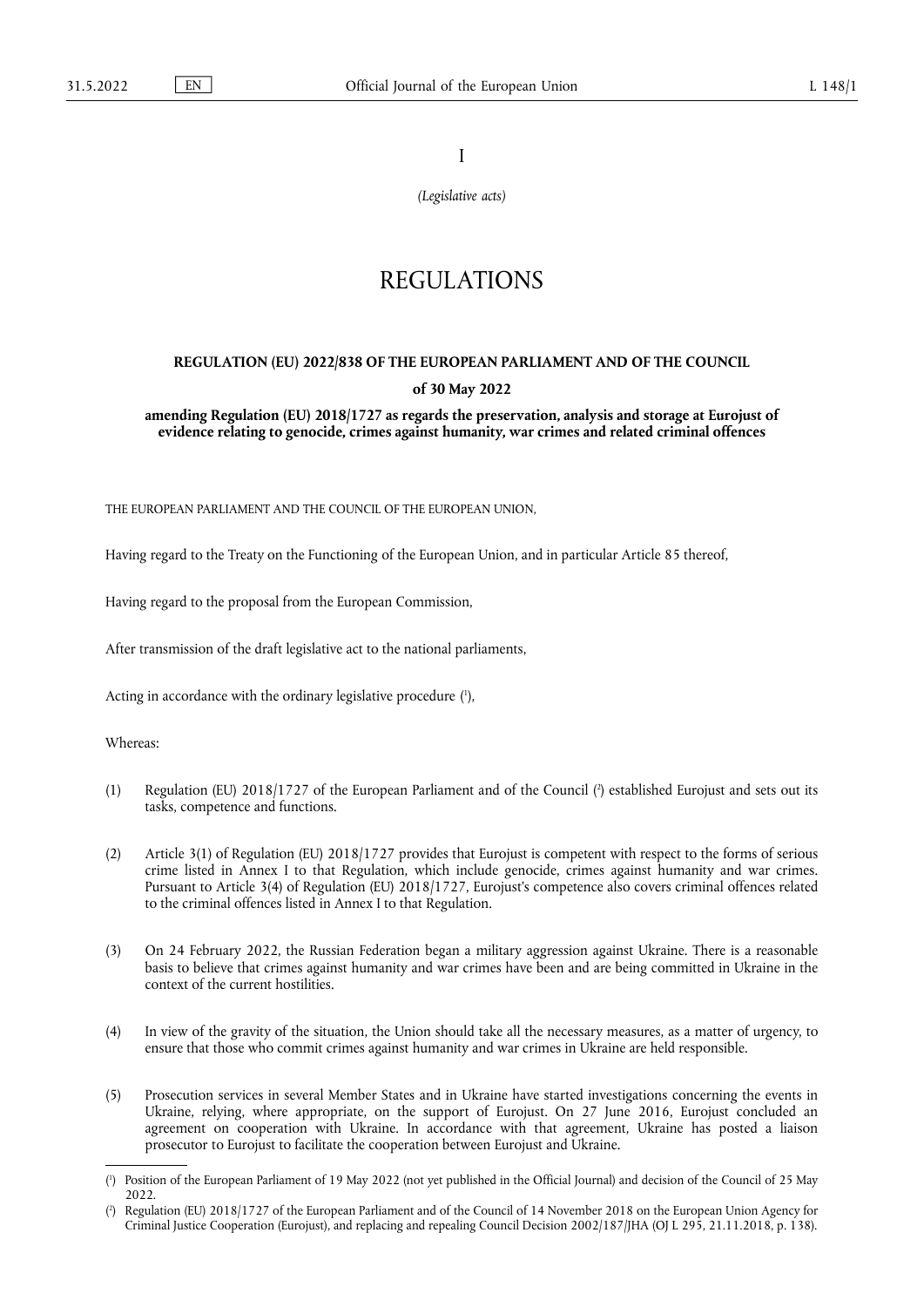I

*(Legislative acts)*

# REGULATIONS

# **REGULATION (EU) 2022/838 OF THE EUROPEAN PARLIAMENT AND OF THE COUNCIL of 30 May 2022**

**amending Regulation (EU) 2018/1727 as regards the preservation, analysis and storage at Eurojust of evidence relating to genocide, crimes against humanity, war crimes and related criminal offences** 

THE EUROPEAN PARLIAMENT AND THE COUNCIL OF THE EUROPEAN UNION,

Having regard to the Treaty on the Functioning of the European Union, and in particular Article 85 thereof,

Having regard to the proposal from the European Commission,

After transmission of the draft legislative act to the national parliaments,

<span id="page-0-2"></span>Acting in accordance with the ordinary legislative procedure [\(](#page-0-0) 1 ),

Whereas:

- <span id="page-0-3"></span>(1) Regulation (EU) 2018/1727 of the European Parliament and of the Council [\(](#page-0-1) 2 ) established Eurojust and sets out its tasks, competence and functions.
- (2) Article 3(1) of Regulation (EU) 2018/1727 provides that Eurojust is competent with respect to the forms of serious crime listed in Annex I to that Regulation, which include genocide, crimes against humanity and war crimes. Pursuant to Article 3(4) of Regulation (EU) 2018/1727, Eurojust's competence also covers criminal offences related to the criminal offences listed in Annex I to that Regulation.
- (3) On 24 February 2022, the Russian Federation began a military aggression against Ukraine. There is a reasonable basis to believe that crimes against humanity and war crimes have been and are being committed in Ukraine in the context of the current hostilities.
- (4) In view of the gravity of the situation, the Union should take all the necessary measures, as a matter of urgency, to ensure that those who commit crimes against humanity and war crimes in Ukraine are held responsible.
- (5) Prosecution services in several Member States and in Ukraine have started investigations concerning the events in Ukraine, relying, where appropriate, on the support of Eurojust. On 27 June 2016, Eurojust concluded an agreement on cooperation with Ukraine. In accordance with that agreement, Ukraine has posted a liaison prosecutor to Eurojust to facilitate the cooperation between Eurojust and Ukraine.

<span id="page-0-0"></span>[<sup>\(</sup>](#page-0-2) 1 ) Position of the European Parliament of 19 May 2022 (not yet published in the Official Journal) and decision of the Council of 25 May 2022.

<span id="page-0-1"></span>[<sup>\(</sup>](#page-0-3) 2 ) Regulation (EU) 2018/1727 of the European Parliament and of the Council of 14 November 2018 on the European Union Agency for Criminal Justice Cooperation (Eurojust), and replacing and repealing Council Decision 2002/187/JHA (OJ L 295, 21.11.2018, p. 138).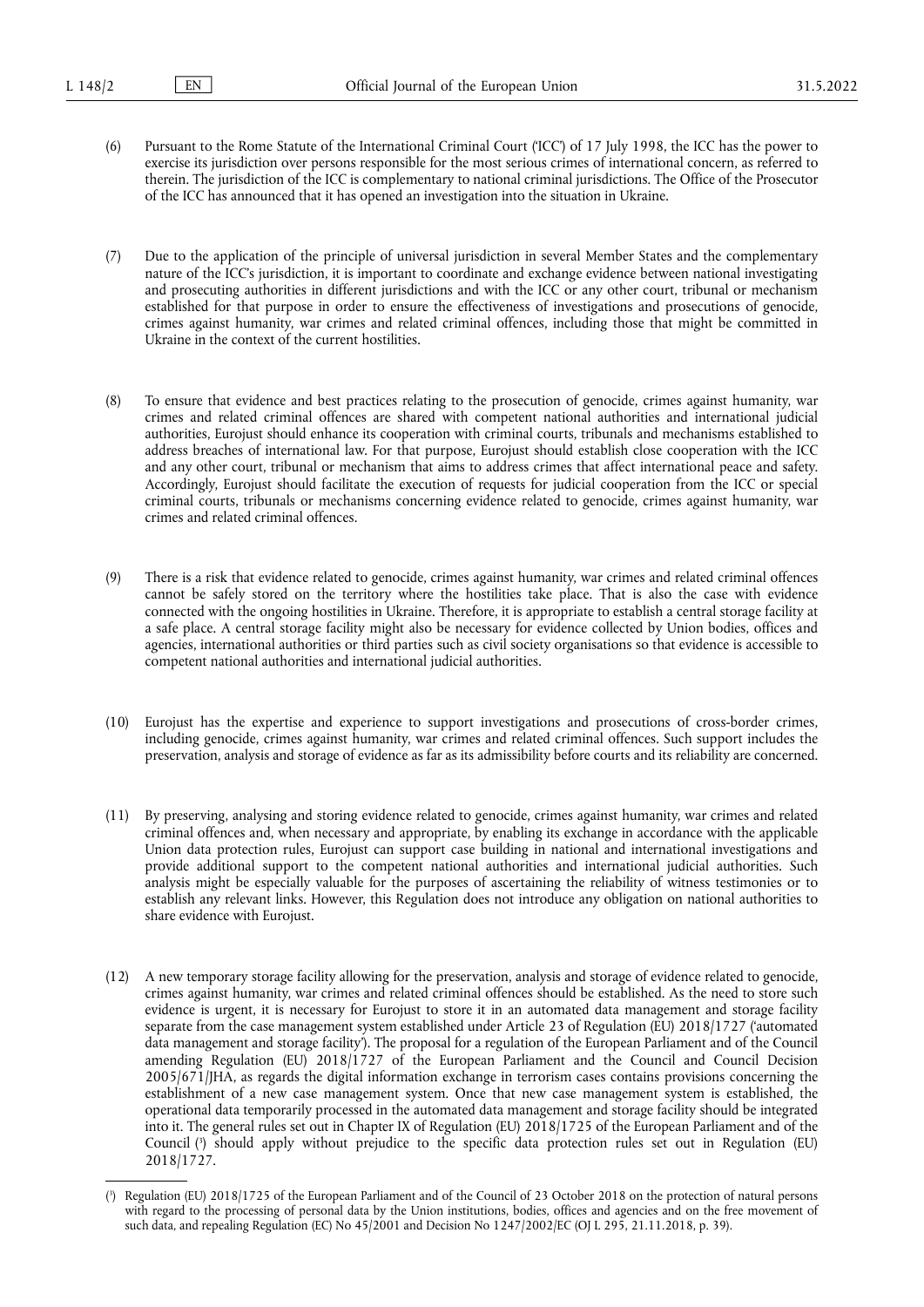- (6) Pursuant to the Rome Statute of the International Criminal Court ('ICC') of 17 July 1998, the ICC has the power to exercise its jurisdiction over persons responsible for the most serious crimes of international concern, as referred to therein. The jurisdiction of the ICC is complementary to national criminal jurisdictions. The Office of the Prosecutor of the ICC has announced that it has opened an investigation into the situation in Ukraine.
- (7) Due to the application of the principle of universal jurisdiction in several Member States and the complementary nature of the ICC's jurisdiction, it is important to coordinate and exchange evidence between national investigating and prosecuting authorities in different jurisdictions and with the ICC or any other court, tribunal or mechanism established for that purpose in order to ensure the effectiveness of investigations and prosecutions of genocide, crimes against humanity, war crimes and related criminal offences, including those that might be committed in Ukraine in the context of the current hostilities.
- (8) To ensure that evidence and best practices relating to the prosecution of genocide, crimes against humanity, war crimes and related criminal offences are shared with competent national authorities and international judicial authorities, Eurojust should enhance its cooperation with criminal courts, tribunals and mechanisms established to address breaches of international law. For that purpose, Eurojust should establish close cooperation with the ICC and any other court, tribunal or mechanism that aims to address crimes that affect international peace and safety. Accordingly, Eurojust should facilitate the execution of requests for judicial cooperation from the ICC or special criminal courts, tribunals or mechanisms concerning evidence related to genocide, crimes against humanity, war crimes and related criminal offences.
- (9) There is a risk that evidence related to genocide, crimes against humanity, war crimes and related criminal offences cannot be safely stored on the territory where the hostilities take place. That is also the case with evidence connected with the ongoing hostilities in Ukraine. Therefore, it is appropriate to establish a central storage facility at a safe place. A central storage facility might also be necessary for evidence collected by Union bodies, offices and agencies, international authorities or third parties such as civil society organisations so that evidence is accessible to competent national authorities and international judicial authorities.
- (10) Eurojust has the expertise and experience to support investigations and prosecutions of cross-border crimes, including genocide, crimes against humanity, war crimes and related criminal offences. Such support includes the preservation, analysis and storage of evidence as far as its admissibility before courts and its reliability are concerned.
- (11) By preserving, analysing and storing evidence related to genocide, crimes against humanity, war crimes and related criminal offences and, when necessary and appropriate, by enabling its exchange in accordance with the applicable Union data protection rules, Eurojust can support case building in national and international investigations and provide additional support to the competent national authorities and international judicial authorities. Such analysis might be especially valuable for the purposes of ascertaining the reliability of witness testimonies or to establish any relevant links. However, this Regulation does not introduce any obligation on national authorities to share evidence with Eurojust.
- (12) A new temporary storage facility allowing for the preservation, analysis and storage of evidence related to genocide, crimes against humanity, war crimes and related criminal offences should be established. As the need to store such evidence is urgent, it is necessary for Eurojust to store it in an automated data management and storage facility separate from the case management system established under Article 23 of Regulation (EU) 2018/1727 ('automated data management and storage facility'). The proposal for a regulation of the European Parliament and of the Council amending Regulation (EU) 2018/1727 of the European Parliament and the Council and Council Decision 2005/671/JHA, as regards the digital information exchange in terrorism cases contains provisions concerning the establishment of a new case management system. Once that new case management system is established, the operational data temporarily processed in the automated data management and storage facility should be integrated into it. The general rules set out in Chapter IX of Regulation (EU) 2018/1725 of the European Parliament and of the Council [\(](#page-1-0) 3 ) should apply without prejudice to the specific data protection rules set out in Regulation (EU) 2018/1727.

<span id="page-1-1"></span><span id="page-1-0"></span>[<sup>\(</sup>](#page-1-1) 3 ) Regulation (EU) 2018/1725 of the European Parliament and of the Council of 23 October 2018 on the protection of natural persons with regard to the processing of personal data by the Union institutions, bodies, offices and agencies and on the free movement of such data, and repealing Regulation (EC) No 45/2001 and Decision No 1247/2002/EC (OJ L 295, 21.11.2018, p. 39).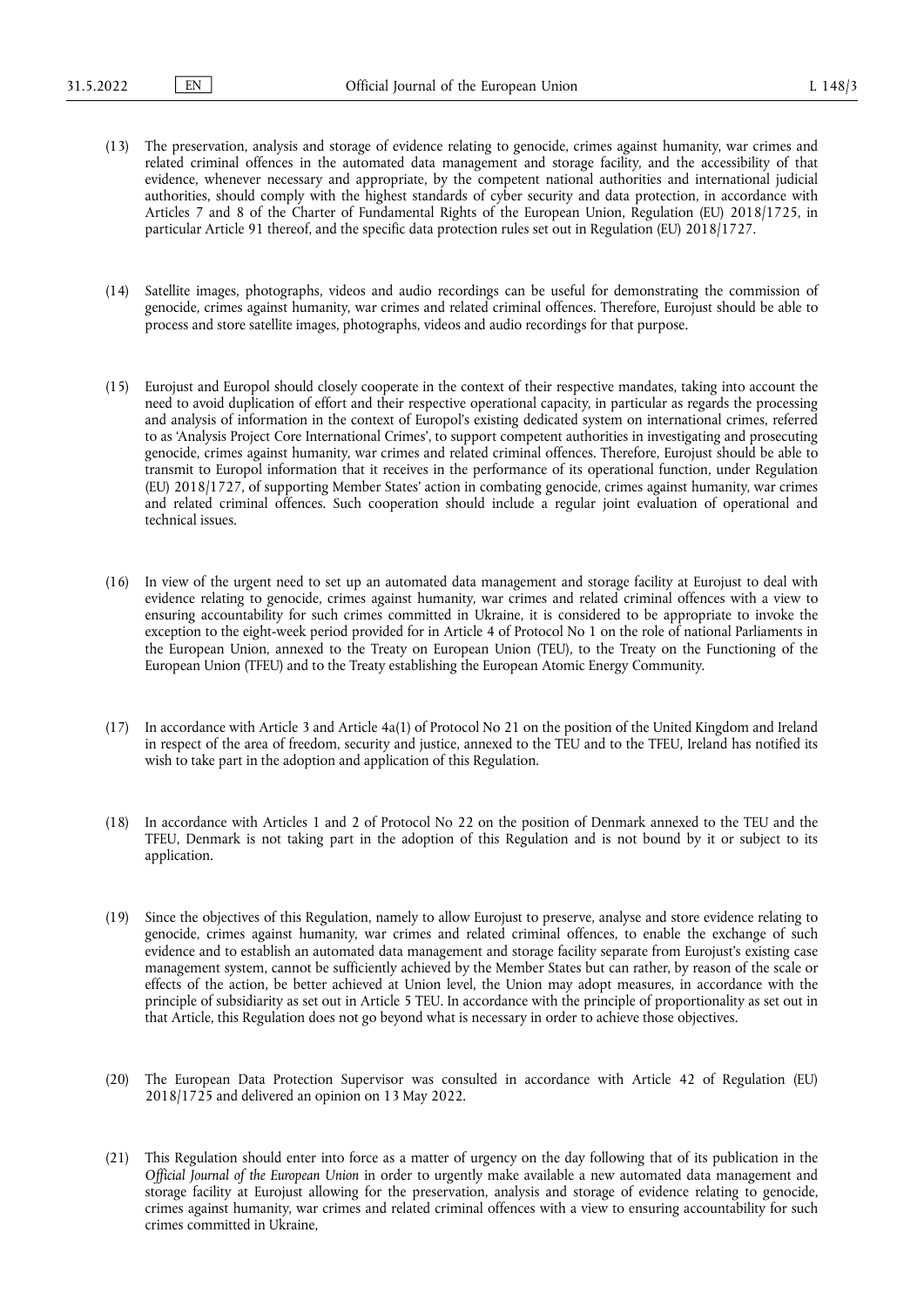- (13) The preservation, analysis and storage of evidence relating to genocide, crimes against humanity, war crimes and related criminal offences in the automated data management and storage facility, and the accessibility of that evidence, whenever necessary and appropriate, by the competent national authorities and international judicial authorities, should comply with the highest standards of cyber security and data protection, in accordance with Articles 7 and 8 of the Charter of Fundamental Rights of the European Union, Regulation (EU) 2018/1725, in particular Article 91 thereof, and the specific data protection rules set out in Regulation (EU) 2018/1727.
- (14) Satellite images, photographs, videos and audio recordings can be useful for demonstrating the commission of genocide, crimes against humanity, war crimes and related criminal offences. Therefore, Eurojust should be able to process and store satellite images, photographs, videos and audio recordings for that purpose.
- (15) Eurojust and Europol should closely cooperate in the context of their respective mandates, taking into account the need to avoid duplication of effort and their respective operational capacity, in particular as regards the processing and analysis of information in the context of Europol's existing dedicated system on international crimes, referred to as 'Analysis Project Core International Crimes', to support competent authorities in investigating and prosecuting genocide, crimes against humanity, war crimes and related criminal offences. Therefore, Eurojust should be able to transmit to Europol information that it receives in the performance of its operational function, under Regulation (EU) 2018/1727, of supporting Member States' action in combating genocide, crimes against humanity, war crimes and related criminal offences. Such cooperation should include a regular joint evaluation of operational and technical issues.
- (16) In view of the urgent need to set up an automated data management and storage facility at Eurojust to deal with evidence relating to genocide, crimes against humanity, war crimes and related criminal offences with a view to ensuring accountability for such crimes committed in Ukraine, it is considered to be appropriate to invoke the exception to the eight-week period provided for in Article 4 of Protocol No 1 on the role of national Parliaments in the European Union, annexed to the Treaty on European Union (TEU), to the Treaty on the Functioning of the European Union (TFEU) and to the Treaty establishing the European Atomic Energy Community.
- (17) In accordance with Article 3 and Article 4a(1) of Protocol No 21 on the position of the United Kingdom and Ireland in respect of the area of freedom, security and justice, annexed to the TEU and to the TFEU, Ireland has notified its wish to take part in the adoption and application of this Regulation.
- (18) In accordance with Articles 1 and 2 of Protocol No 22 on the position of Denmark annexed to the TEU and the TFEU, Denmark is not taking part in the adoption of this Regulation and is not bound by it or subject to its application.
- (19) Since the objectives of this Regulation, namely to allow Eurojust to preserve, analyse and store evidence relating to genocide, crimes against humanity, war crimes and related criminal offences, to enable the exchange of such evidence and to establish an automated data management and storage facility separate from Eurojust's existing case management system, cannot be sufficiently achieved by the Member States but can rather, by reason of the scale or effects of the action, be better achieved at Union level, the Union may adopt measures, in accordance with the principle of subsidiarity as set out in Article 5 TEU. In accordance with the principle of proportionality as set out in that Article, this Regulation does not go beyond what is necessary in order to achieve those objectives.
- (20) The European Data Protection Supervisor was consulted in accordance with Article 42 of Regulation (EU) 2018/1725 and delivered an opinion on 13 May 2022.
- (21) This Regulation should enter into force as a matter of urgency on the day following that of its publication in the *Official Journal of the European Union* in order to urgently make available a new automated data management and storage facility at Eurojust allowing for the preservation, analysis and storage of evidence relating to genocide, crimes against humanity, war crimes and related criminal offences with a view to ensuring accountability for such crimes committed in Ukraine,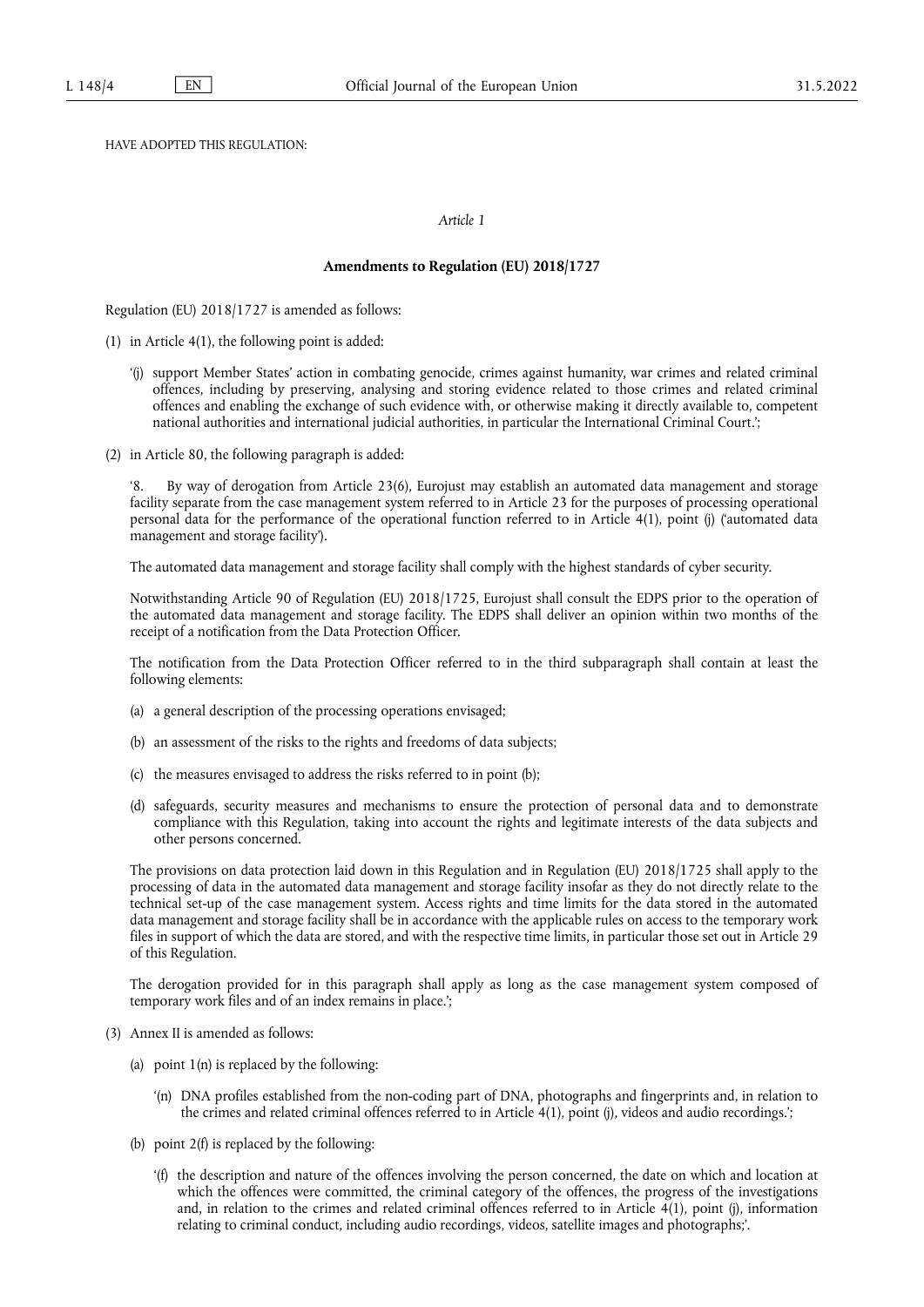HAVE ADOPTED THIS REGULATION:

### *Article 1*

#### **Amendments to Regulation (EU) 2018/1727**

Regulation (EU) 2018/1727 is amended as follows:

- (1) in Article 4(1), the following point is added:
	- '(j) support Member States' action in combating genocide, crimes against humanity, war crimes and related criminal offences, including by preserving, analysing and storing evidence related to those crimes and related criminal offences and enabling the exchange of such evidence with, or otherwise making it directly available to, competent national authorities and international judicial authorities, in particular the International Criminal Court.';
- (2) in Article 80, the following paragraph is added:

By way of derogation from Article 23(6), Eurojust may establish an automated data management and storage facility separate from the case management system referred to in Article 23 for the purposes of processing operational personal data for the performance of the operational function referred to in Article 4(1), point (j) ('automated data management and storage facility').

The automated data management and storage facility shall comply with the highest standards of cyber security.

Notwithstanding Article 90 of Regulation (EU) 2018/1725, Eurojust shall consult the EDPS prior to the operation of the automated data management and storage facility. The EDPS shall deliver an opinion within two months of the receipt of a notification from the Data Protection Officer.

The notification from the Data Protection Officer referred to in the third subparagraph shall contain at least the following elements:

- (a) a general description of the processing operations envisaged;
- (b) an assessment of the risks to the rights and freedoms of data subjects;
- (c) the measures envisaged to address the risks referred to in point (b);
- (d) safeguards, security measures and mechanisms to ensure the protection of personal data and to demonstrate compliance with this Regulation, taking into account the rights and legitimate interests of the data subjects and other persons concerned.

The provisions on data protection laid down in this Regulation and in Regulation (EU) 2018/1725 shall apply to the processing of data in the automated data management and storage facility insofar as they do not directly relate to the technical set-up of the case management system. Access rights and time limits for the data stored in the automated data management and storage facility shall be in accordance with the applicable rules on access to the temporary work files in support of which the data are stored, and with the respective time limits, in particular those set out in Article 29 of this Regulation.

The derogation provided for in this paragraph shall apply as long as the case management system composed of temporary work files and of an index remains in place.';

- (3) Annex II is amended as follows:
	- (a) point  $1(n)$  is replaced by the following:
		- '(n) DNA profiles established from the non-coding part of DNA, photographs and fingerprints and, in relation to the crimes and related criminal offences referred to in Article 4(1), point (j), videos and audio recordings.';
	- (b) point 2(f) is replaced by the following:
		- '(f) the description and nature of the offences involving the person concerned, the date on which and location at which the offences were committed, the criminal category of the offences, the progress of the investigations and, in relation to the crimes and related criminal offences referred to in Article 4(1), point (j), information relating to criminal conduct, including audio recordings, videos, satellite images and photographs;'.